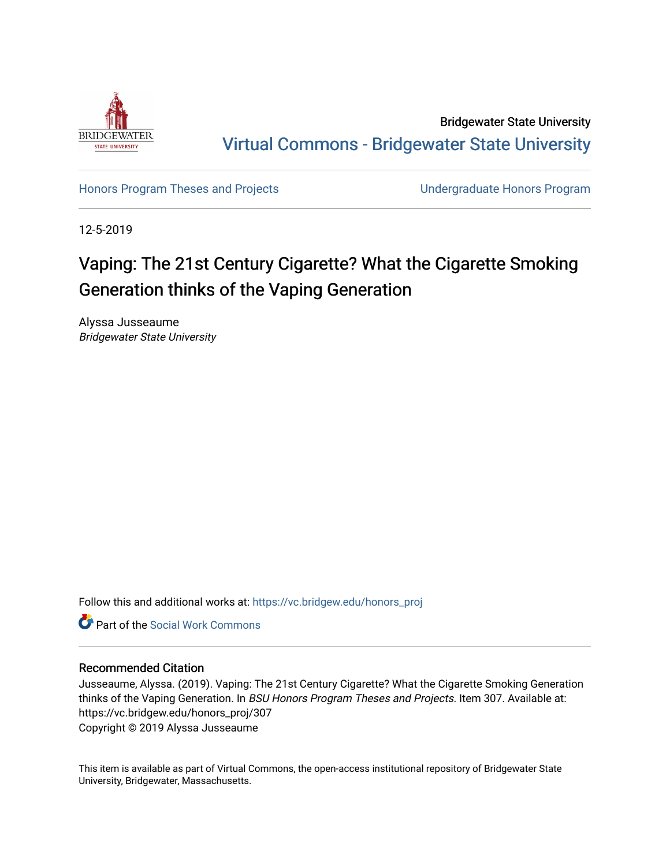

Bridgewater State University [Virtual Commons - Bridgewater State University](https://vc.bridgew.edu/) 

[Honors Program Theses and Projects](https://vc.bridgew.edu/honors_proj) [Undergraduate Honors Program](https://vc.bridgew.edu/honors) 

12-5-2019

# Vaping: The 21st Century Cigarette? What the Cigarette Smoking Generation thinks of the Vaping Generation

Alyssa Jusseaume Bridgewater State University

Follow this and additional works at: [https://vc.bridgew.edu/honors\\_proj](https://vc.bridgew.edu/honors_proj?utm_source=vc.bridgew.edu%2Fhonors_proj%2F307&utm_medium=PDF&utm_campaign=PDFCoverPages)



## Recommended Citation

Jusseaume, Alyssa. (2019). Vaping: The 21st Century Cigarette? What the Cigarette Smoking Generation thinks of the Vaping Generation. In BSU Honors Program Theses and Projects. Item 307. Available at: https://vc.bridgew.edu/honors\_proj/307 Copyright © 2019 Alyssa Jusseaume

This item is available as part of Virtual Commons, the open-access institutional repository of Bridgewater State University, Bridgewater, Massachusetts.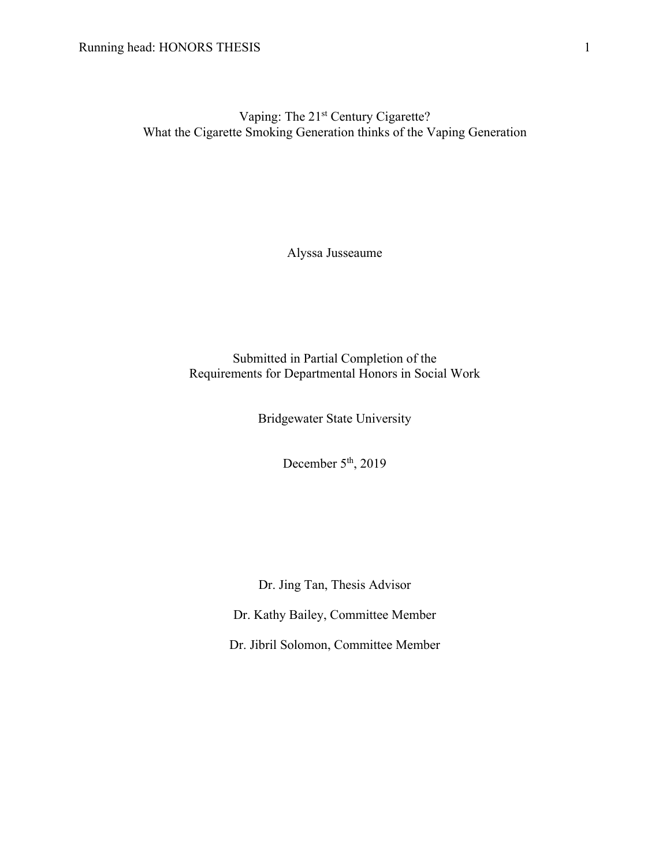Vaping: The 21<sup>st</sup> Century Cigarette? What the Cigarette Smoking Generation thinks of the Vaping Generation

Alyssa Jusseaume

Submitted in Partial Completion of the Requirements for Departmental Honors in Social Work

Bridgewater State University

December  $5<sup>th</sup>$ , 2019

Dr. Jing Tan, Thesis Advisor

Dr. Kathy Bailey, Committee Member

Dr. Jibril Solomon, Committee Member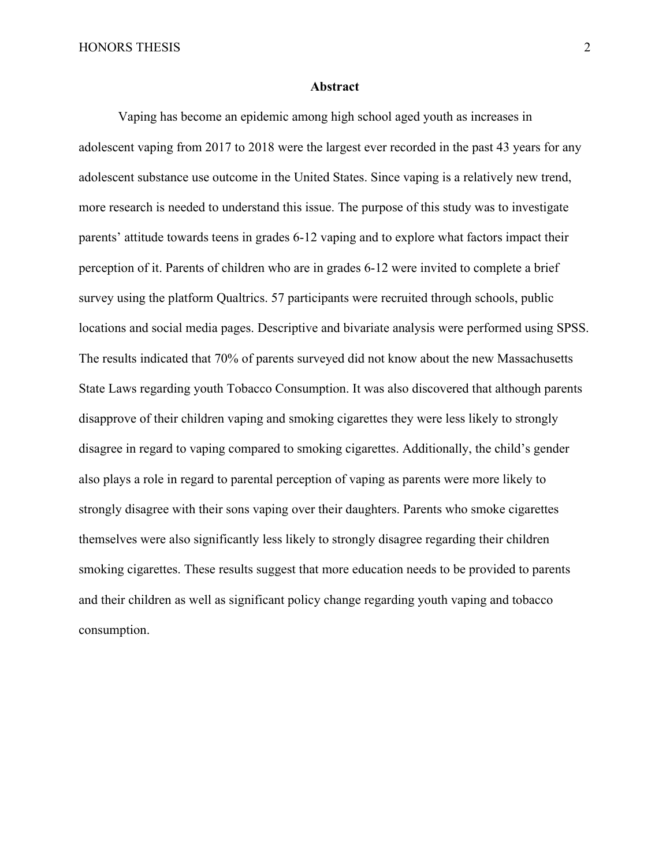#### **Abstract**

Vaping has become an epidemic among high school aged youth as increases in adolescent vaping from 2017 to 2018 were the largest ever recorded in the past 43 years for any adolescent substance use outcome in the United States. Since vaping is a relatively new trend, more research is needed to understand this issue. The purpose of this study was to investigate parents' attitude towards teens in grades 6-12 vaping and to explore what factors impact their perception of it. Parents of children who are in grades 6-12 were invited to complete a brief survey using the platform Qualtrics. 57 participants were recruited through schools, public locations and social media pages. Descriptive and bivariate analysis were performed using SPSS. The results indicated that 70% of parents surveyed did not know about the new Massachusetts State Laws regarding youth Tobacco Consumption. It was also discovered that although parents disapprove of their children vaping and smoking cigarettes they were less likely to strongly disagree in regard to vaping compared to smoking cigarettes. Additionally, the child's gender also plays a role in regard to parental perception of vaping as parents were more likely to strongly disagree with their sons vaping over their daughters. Parents who smoke cigarettes themselves were also significantly less likely to strongly disagree regarding their children smoking cigarettes. These results suggest that more education needs to be provided to parents and their children as well as significant policy change regarding youth vaping and tobacco consumption.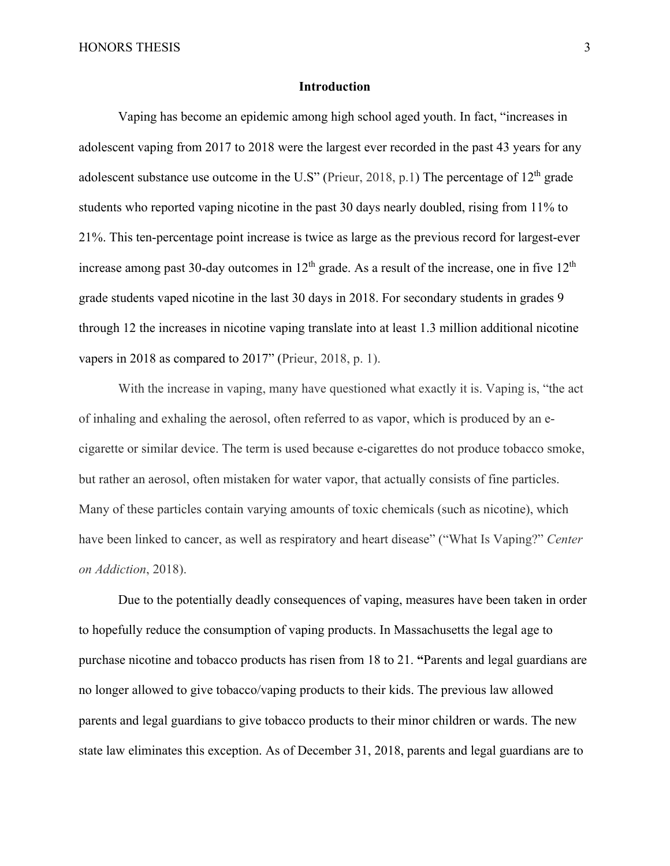### **Introduction**

Vaping has become an epidemic among high school aged youth. In fact, "increases in adolescent vaping from 2017 to 2018 were the largest ever recorded in the past 43 years for any adolescent substance use outcome in the U.S" (Prieur, 2018, p.1) The percentage of  $12<sup>th</sup>$  grade students who reported vaping nicotine in the past 30 days nearly doubled, rising from 11% to 21%. This ten-percentage point increase is twice as large as the previous record for largest-ever increase among past 30-day outcomes in  $12<sup>th</sup>$  grade. As a result of the increase, one in five  $12<sup>th</sup>$ grade students vaped nicotine in the last 30 days in 2018. For secondary students in grades 9 through 12 the increases in nicotine vaping translate into at least 1.3 million additional nicotine vapers in 2018 as compared to 2017" (Prieur, 2018, p. 1).

With the increase in vaping, many have questioned what exactly it is. Vaping is, "the act of inhaling and exhaling the aerosol, often referred to as vapor, which is produced by an ecigarette or similar device. The term is used because e-cigarettes do not produce tobacco smoke, but rather an aerosol, often mistaken for water vapor, that actually consists of fine particles. Many of these particles contain varying amounts of toxic chemicals (such as nicotine), which have been linked to cancer, as well as respiratory and heart disease" ("What Is Vaping?" *Center on Addiction*, 2018).

Due to the potentially deadly consequences of vaping, measures have been taken in order to hopefully reduce the consumption of vaping products. In Massachusetts the legal age to purchase nicotine and tobacco products has risen from 18 to 21. **"**Parents and legal guardians are no longer allowed to give tobacco/vaping products to their kids. The previous law allowed parents and legal guardians to give tobacco products to their minor children or wards. The new state law eliminates this exception. As of December 31, 2018, parents and legal guardians are to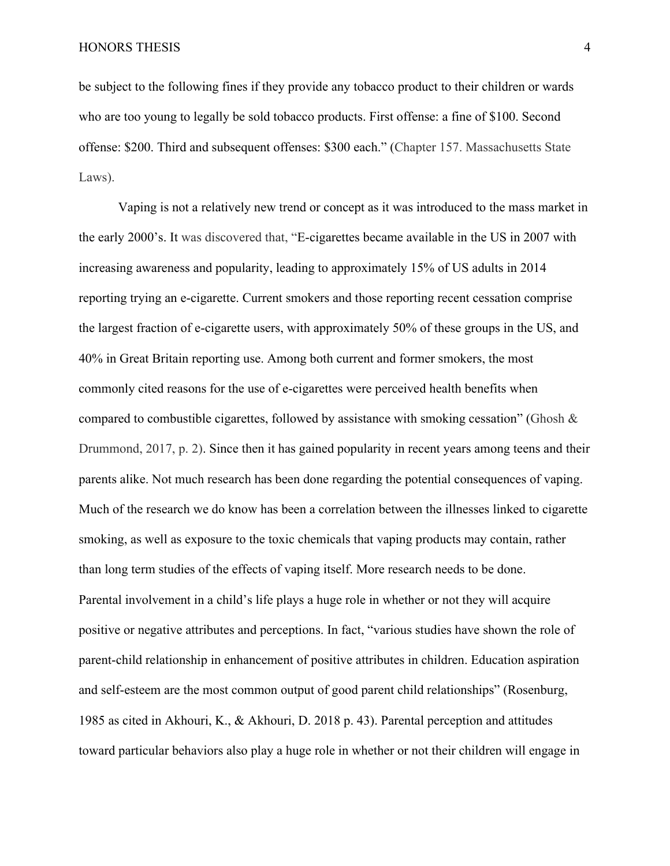be subject to the following fines if they provide any tobacco product to their children or wards who are too young to legally be sold tobacco products. First offense: a fine of \$100. Second offense: \$200. Third and subsequent offenses: \$300 each." (Chapter 157. Massachusetts State Laws).

Vaping is not a relatively new trend or concept as it was introduced to the mass market in the early 2000's. It was discovered that, "E-cigarettes became available in the US in 2007 with increasing awareness and popularity, leading to approximately 15% of US adults in 2014 reporting trying an e-cigarette. Current smokers and those reporting recent cessation comprise the largest fraction of e-cigarette users, with approximately 50% of these groups in the US, and 40% in Great Britain reporting use. Among both current and former smokers, the most commonly cited reasons for the use of e-cigarettes were perceived health benefits when compared to combustible cigarettes, followed by assistance with smoking cessation" (Ghosh  $\&$ Drummond, 2017, p. 2). Since then it has gained popularity in recent years among teens and their parents alike. Not much research has been done regarding the potential consequences of vaping. Much of the research we do know has been a correlation between the illnesses linked to cigarette smoking, as well as exposure to the toxic chemicals that vaping products may contain, rather than long term studies of the effects of vaping itself. More research needs to be done. Parental involvement in a child's life plays a huge role in whether or not they will acquire positive or negative attributes and perceptions. In fact, "various studies have shown the role of parent-child relationship in enhancement of positive attributes in children. Education aspiration and self-esteem are the most common output of good parent child relationships" (Rosenburg, 1985 as cited in Akhouri, K., & Akhouri, D. 2018 p. 43). Parental perception and attitudes toward particular behaviors also play a huge role in whether or not their children will engage in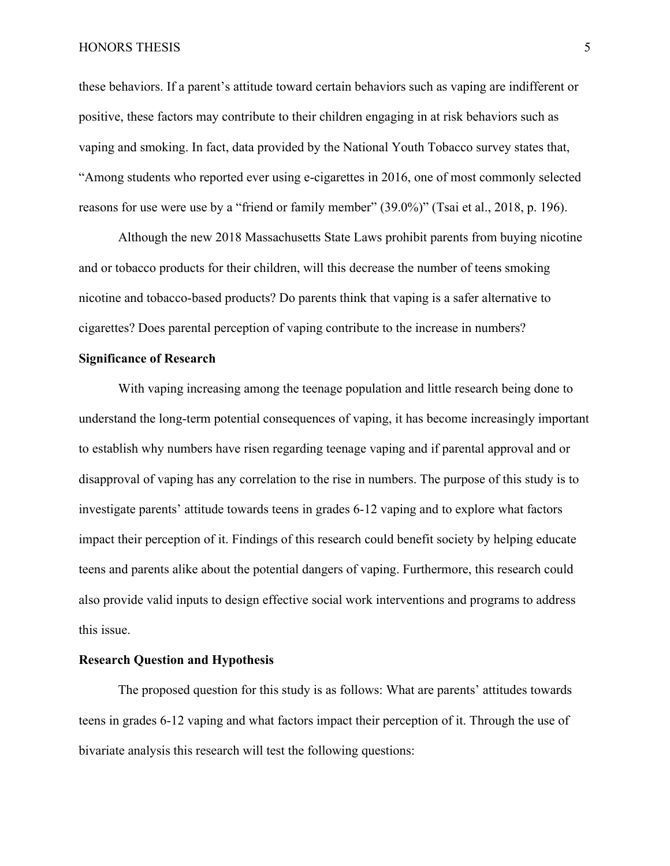#### HONORS THESIS 5

these behaviors. If a parent's attitude toward certain behaviors such as vaping are indifferent or positive, these factors may contribute to their children engaging in at risk behaviors such as vaping and smoking. In fact, data provided by the National Youth Tobacco survey states that, "Among students who reported ever using e-cigarettes in 2016, one of most commonly selected reasons for use were use by a "friend or family member" (39.0%)" (Tsai et al., 2018, p. 196).

Although the new 2018 Massachusetts State Laws prohibit parents from buying nicotine and or tobacco products for their children, will this decrease the number of teens smoking nicotine and tobacco-based products? Do parents think that vaping is a safer alternative to cigarettes? Does parental perception of vaping contribute to the increase in numbers?

## **Significance of Research**

With vaping increasing among the teenage population and little research being done to understand the long-term potential consequences of vaping, it has become increasingly important to establish why numbers have risen regarding teenage vaping and if parental approval and or disapproval of vaping has any correlation to the rise in numbers. The purpose of this study is to investigate parents' attitude towards teens in grades 6-12 vaping and to explore what factors impact their perception of it. Findings of this research could benefit society by helping educate teens and parents alike about the potential dangers of vaping. Furthermore, this research could also provide valid inputs to design effective social work interventions and programs to address this issue.

## **Research Question and Hypothesis**

The proposed question for this study is as follows: What are parents' attitudes towards teens in grades 6-12 vaping and what factors impact their perception of it. Through the use of bivariate analysis this research will test the following questions: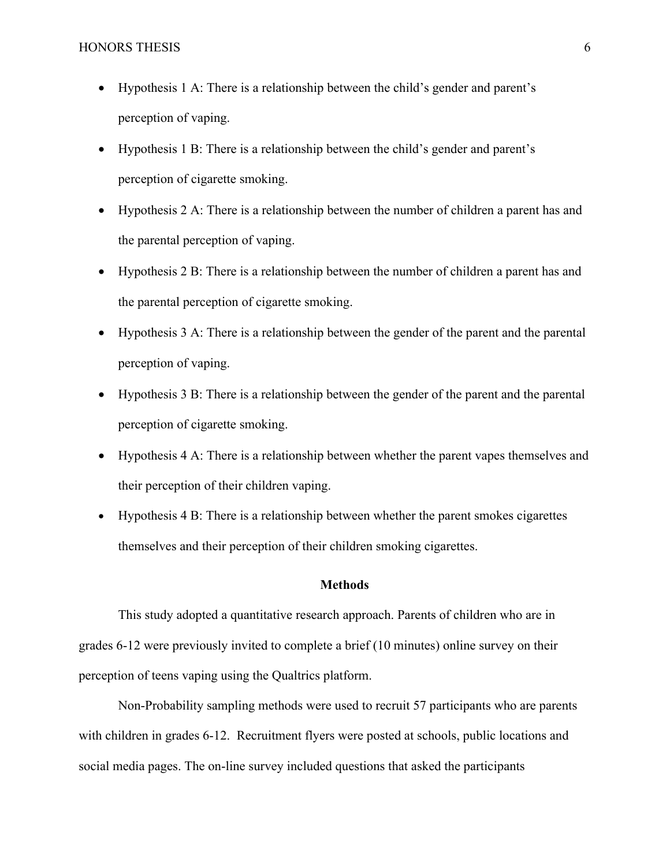- Hypothesis 1 A: There is a relationship between the child's gender and parent's perception of vaping.
- Hypothesis 1 B: There is a relationship between the child's gender and parent's perception of cigarette smoking.
- Hypothesis 2 A: There is a relationship between the number of children a parent has and the parental perception of vaping.
- Hypothesis 2 B: There is a relationship between the number of children a parent has and the parental perception of cigarette smoking.
- Hypothesis 3 A: There is a relationship between the gender of the parent and the parental perception of vaping.
- Hypothesis 3 B: There is a relationship between the gender of the parent and the parental perception of cigarette smoking.
- Hypothesis 4 A: There is a relationship between whether the parent vapes themselves and their perception of their children vaping.
- Hypothesis 4 B: There is a relationship between whether the parent smokes cigarettes themselves and their perception of their children smoking cigarettes.

## **Methods**

This study adopted a quantitative research approach. Parents of children who are in grades 6-12 were previously invited to complete a brief (10 minutes) online survey on their perception of teens vaping using the Qualtrics platform.

Non-Probability sampling methods were used to recruit 57 participants who are parents with children in grades 6-12. Recruitment flyers were posted at schools, public locations and social media pages. The on-line survey included questions that asked the participants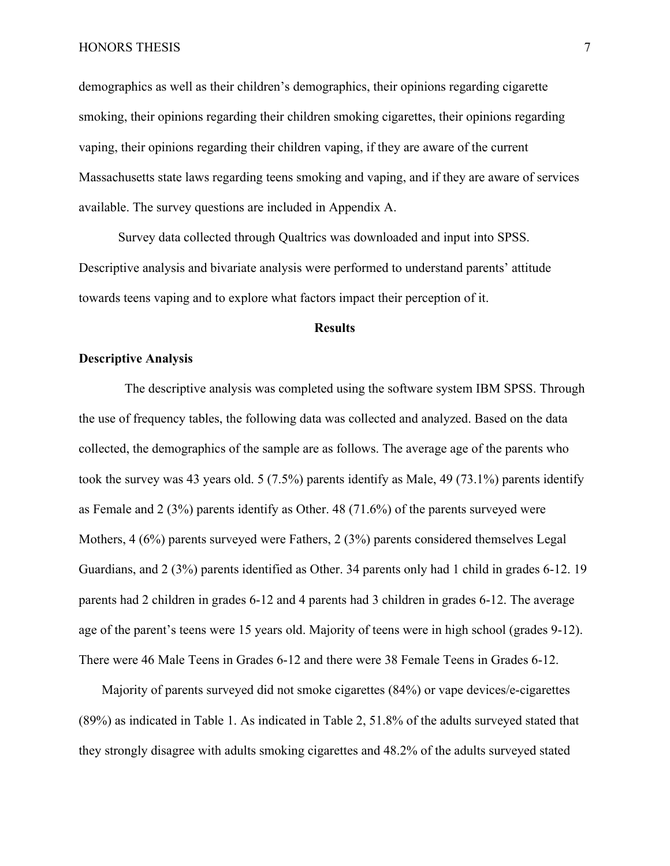#### HONORS THESIS 7

demographics as well as their children's demographics, their opinions regarding cigarette smoking, their opinions regarding their children smoking cigarettes, their opinions regarding vaping, their opinions regarding their children vaping, if they are aware of the current Massachusetts state laws regarding teens smoking and vaping, and if they are aware of services available. The survey questions are included in Appendix A.

Survey data collected through Qualtrics was downloaded and input into SPSS. Descriptive analysis and bivariate analysis were performed to understand parents' attitude towards teens vaping and to explore what factors impact their perception of it.

## **Results**

## **Descriptive Analysis**

 The descriptive analysis was completed using the software system IBM SPSS. Through the use of frequency tables, the following data was collected and analyzed. Based on the data collected, the demographics of the sample are as follows. The average age of the parents who took the survey was 43 years old. 5 (7.5%) parents identify as Male, 49 (73.1%) parents identify as Female and 2 (3%) parents identify as Other. 48 (71.6%) of the parents surveyed were Mothers, 4 (6%) parents surveyed were Fathers, 2 (3%) parents considered themselves Legal Guardians, and 2 (3%) parents identified as Other. 34 parents only had 1 child in grades 6-12. 19 parents had 2 children in grades 6-12 and 4 parents had 3 children in grades 6-12. The average age of the parent's teens were 15 years old. Majority of teens were in high school (grades 9-12). There were 46 Male Teens in Grades 6-12 and there were 38 Female Teens in Grades 6-12.

Majority of parents surveyed did not smoke cigarettes (84%) or vape devices/e-cigarettes (89%) as indicated in Table 1. As indicated in Table 2, 51.8% of the adults surveyed stated that they strongly disagree with adults smoking cigarettes and 48.2% of the adults surveyed stated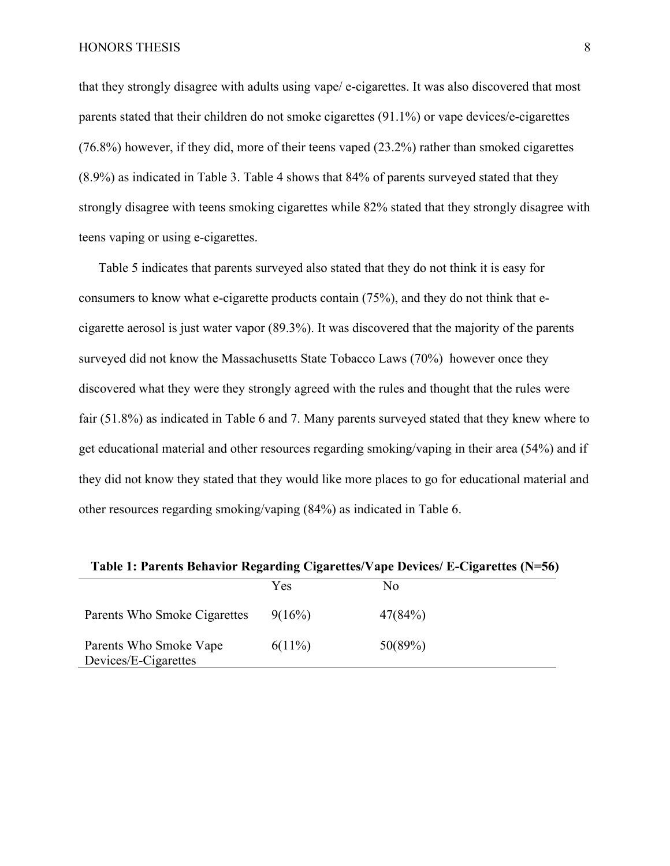that they strongly disagree with adults using vape/ e-cigarettes. It was also discovered that most parents stated that their children do not smoke cigarettes (91.1%) or vape devices/e-cigarettes (76.8%) however, if they did, more of their teens vaped (23.2%) rather than smoked cigarettes (8.9%) as indicated in Table 3. Table 4 shows that 84% of parents surveyed stated that they strongly disagree with teens smoking cigarettes while 82% stated that they strongly disagree with teens vaping or using e-cigarettes.

Table 5 indicates that parents surveyed also stated that they do not think it is easy for consumers to know what e-cigarette products contain (75%), and they do not think that ecigarette aerosol is just water vapor (89.3%). It was discovered that the majority of the parents surveyed did not know the Massachusetts State Tobacco Laws (70%) however once they discovered what they were they strongly agreed with the rules and thought that the rules were fair (51.8%) as indicated in Table 6 and 7. Many parents surveyed stated that they knew where to get educational material and other resources regarding smoking/vaping in their area (54%) and if they did not know they stated that they would like more places to go for educational material and other resources regarding smoking/vaping (84%) as indicated in Table 6.

|                                                | Yes       | N <sub>0</sub> |  |  |
|------------------------------------------------|-----------|----------------|--|--|
| Parents Who Smoke Cigarettes                   | 9(16%)    | 47(84%)        |  |  |
| Parents Who Smoke Vape<br>Devices/E-Cigarettes | $6(11\%)$ | 50(89%)        |  |  |

**Table 1: Parents Behavior Regarding Cigarettes/Vape Devices/ E-Cigarettes (N=56)**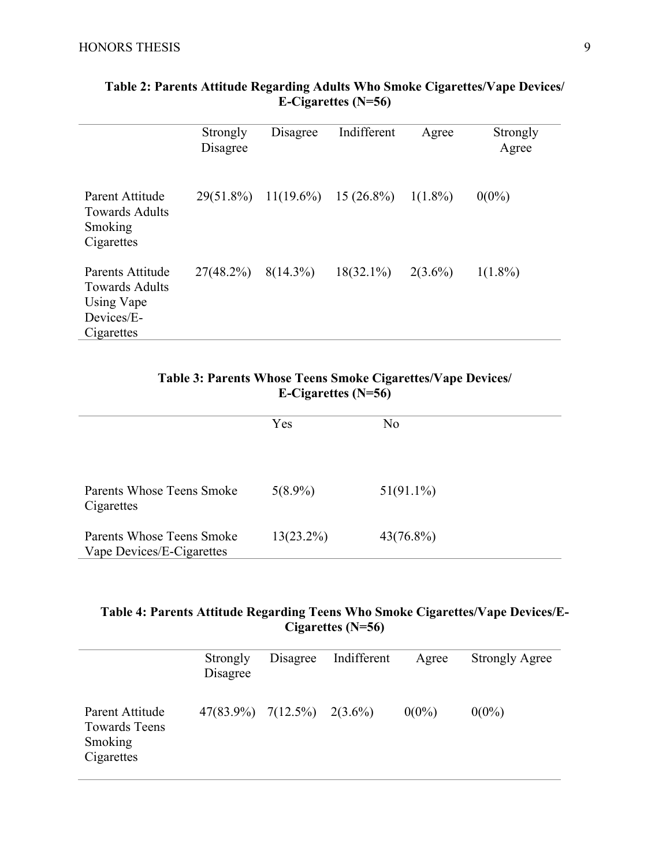|                                                                                     | Strongly<br>Disagree | Disagree    | Indifferent             | Agree      | Strongly<br>Agree |
|-------------------------------------------------------------------------------------|----------------------|-------------|-------------------------|------------|-------------------|
| Parent Attitude<br><b>Towards Adults</b><br>Smoking<br>Cigarettes                   | 29(51.8%)            |             | $11(19.6\%)$ 15 (26.8%) | $1(1.8\%)$ | $0(0\%)$          |
| Parents Attitude<br><b>Towards Adults</b><br>Using Vape<br>Devices/E-<br>Cigarettes | $27(48.2\%)$         | $8(14.3\%)$ | $18(32.1\%)$            | $2(3.6\%)$ | $1(1.8\%)$        |

# **Table 2: Parents Attitude Regarding Adults Who Smoke Cigarettes/Vape Devices/ E-Cigarettes (N=56)**

# **Table 3: Parents Whose Teens Smoke Cigarettes/Vape Devices/ E-Cigarettes (N=56)**

|                                                        | Yes          | No           |
|--------------------------------------------------------|--------------|--------------|
| Parents Whose Teens Smoke<br>Cigarettes                | $5(8.9\%)$   | $51(91.1\%)$ |
| Parents Whose Teens Smoke<br>Vape Devices/E-Cigarettes | $13(23.2\%)$ | $43(76.8\%)$ |

# **Table 4: Parents Attitude Regarding Teens Who Smoke Cigarettes/Vape Devices/E-Cigarettes (N=56)**

|                                                                  | Strongly<br>Disagree                | Disagree | Indifferent | Agree    | <b>Strongly Agree</b> |
|------------------------------------------------------------------|-------------------------------------|----------|-------------|----------|-----------------------|
| Parent Attitude<br><b>Towards Teens</b><br>Smoking<br>Cigarettes | $47(83.9\%)$ $7(12.5\%)$ $2(3.6\%)$ |          |             | $0(0\%)$ | $0(0\%)$              |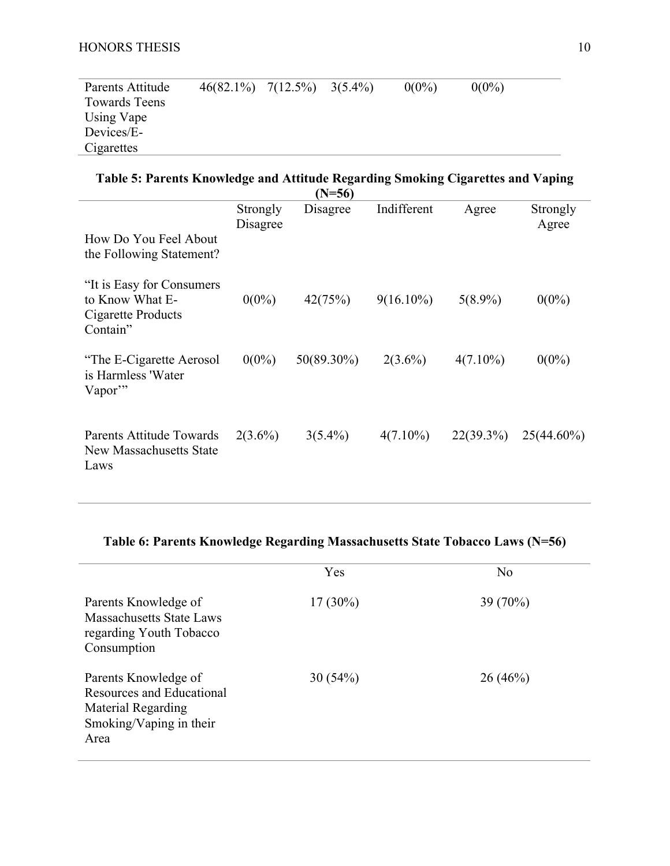| Parents Attitude     | $46(82.1\%)$ $7(12.5\%)$ $3(5.4\%)$ |  | $0(0\%)$ | $0(0\%)$ |  |
|----------------------|-------------------------------------|--|----------|----------|--|
| <b>Towards Teens</b> |                                     |  |          |          |  |
| Using Vape           |                                     |  |          |          |  |
| Devices/E-           |                                     |  |          |          |  |
| Cigarettes           |                                     |  |          |          |  |

| Table 5: Parents Knowledge and Attitude Regarding Smoking Cigarettes and Vaping |                      |                      |              |              |                   |  |
|---------------------------------------------------------------------------------|----------------------|----------------------|--------------|--------------|-------------------|--|
| How Do You Feel About<br>the Following Statement?                               | Strongly<br>Disagree | $(N=56)$<br>Disagree | Indifferent  | Agree        | Strongly<br>Agree |  |
| "It is Easy for Consumers"<br>to Know What E-<br>Cigarette Products<br>Contain" | $0(0\%)$             | 42(75%)              | $9(16.10\%)$ | $5(8.9\%)$   | $0(0\%)$          |  |
| "The E-Cigarette Aerosol"<br>is Harmless 'Water<br>Vapor"                       | $0(0\%)$             | 50(89.30%)           | $2(3.6\%)$   | $4(7.10\%)$  | $0(0\%)$          |  |
| Parents Attitude Towards<br>New Massachusetts State<br>Laws                     | $2(3.6\%)$           | $3(5.4\%)$           | $4(7.10\%)$  | $22(39.3\%)$ | $25(44.60\%)$     |  |

# **Table 6: Parents Knowledge Regarding Massachusetts State Tobacco Laws (N=56)**

|                                                                                                                   | Yes        | No       |
|-------------------------------------------------------------------------------------------------------------------|------------|----------|
| Parents Knowledge of<br><b>Massachusetts State Laws</b><br>regarding Youth Tobacco<br>Consumption                 | $17(30\%)$ | 39 (70%) |
| Parents Knowledge of<br><b>Resources and Educational</b><br>Material Regarding<br>Smoking/Vaping in their<br>Area | 30(54%)    | 26(46%)  |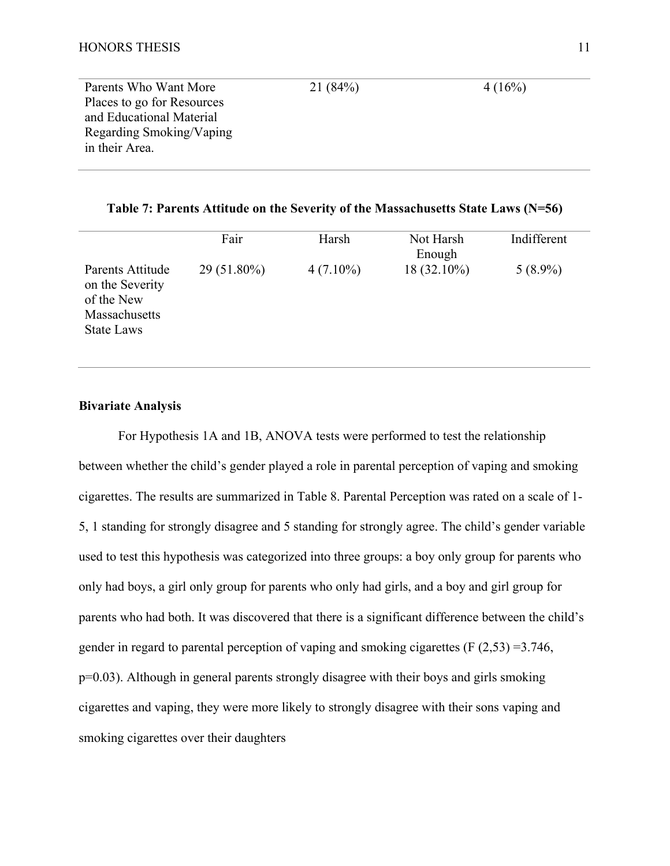| Parents Who Want More      | 21(84%) | 4(16%) |
|----------------------------|---------|--------|
| Places to go for Resources |         |        |
| and Educational Material   |         |        |
| Regarding Smoking/Vaping   |         |        |
| in their Area.             |         |        |
|                            |         |        |

**Table 7: Parents Attitude on the Severity of the Massachusetts State Laws (N=56)**

|                                                                                         | Fair          | Harsh       | Not Harsh<br>Enough | Indifferent |
|-----------------------------------------------------------------------------------------|---------------|-------------|---------------------|-------------|
| Parents Attitude<br>on the Severity<br>of the New<br>Massachusetts<br><b>State Laws</b> | $29(51.80\%)$ | $4(7.10\%)$ | 18 (32.10%)         | $5(8.9\%)$  |

## **Bivariate Analysis**

For Hypothesis 1A and 1B, ANOVA tests were performed to test the relationship between whether the child's gender played a role in parental perception of vaping and smoking cigarettes. The results are summarized in Table 8. Parental Perception was rated on a scale of 1- 5, 1 standing for strongly disagree and 5 standing for strongly agree. The child's gender variable used to test this hypothesis was categorized into three groups: a boy only group for parents who only had boys, a girl only group for parents who only had girls, and a boy and girl group for parents who had both. It was discovered that there is a significant difference between the child's gender in regard to parental perception of vaping and smoking cigarettes ( $F(2,53) = 3.746$ , p=0.03). Although in general parents strongly disagree with their boys and girls smoking cigarettes and vaping, they were more likely to strongly disagree with their sons vaping and smoking cigarettes over their daughters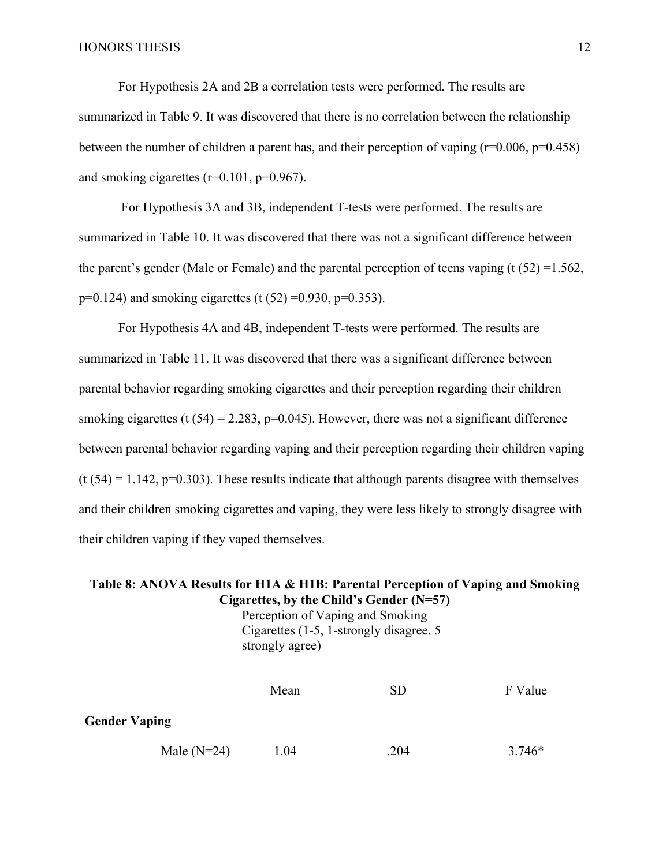For Hypothesis 2A and 2B a correlation tests were performed. The results are summarized in Table 9. It was discovered that there is no correlation between the relationship between the number of children a parent has, and their perception of vaping  $(r=0.006, p=0.458)$ and smoking cigarettes  $(r=0.101, p=0.967)$ .

For Hypothesis 3A and 3B, independent T-tests were performed. The results are summarized in Table 10. It was discovered that there was not a significant difference between the parent's gender (Male or Female) and the parental perception of teens vaping (t  $(52) = 1.562$ ,  $p=0.124$ ) and smoking cigarettes (t (52) = 0.930,  $p=0.353$ ).

For Hypothesis 4A and 4B, independent T-tests were performed. The results are summarized in Table 11. It was discovered that there was a significant difference between parental behavior regarding smoking cigarettes and their perception regarding their children smoking cigarettes (t  $(54) = 2.283$ , p=0.045). However, there was not a significant difference between parental behavior regarding vaping and their perception regarding their children vaping  $(t (54) = 1.142, p=0.303)$ . These results indicate that although parents disagree with themselves and their children smoking cigarettes and vaping, they were less likely to strongly disagree with their children vaping if they vaped themselves.

| Table 8: ANOVA Results for H1A & H1B: Parental Perception of Vaping and Smoking |
|---------------------------------------------------------------------------------|
| Cigarettes, by the Child's Gender $(N=57)$                                      |

|                                           |  | Perception of Vaping and Smoking<br>Cigarettes (1-5, 1-strongly disagree, 5<br>strongly agree) |           |         |  |  |
|-------------------------------------------|--|------------------------------------------------------------------------------------------------|-----------|---------|--|--|
| <b>Gender Vaping</b>                      |  | Mean                                                                                           | <b>SD</b> | F Value |  |  |
| 1.04<br>.204<br>Male $(N=24)$<br>$3.746*$ |  |                                                                                                |           |         |  |  |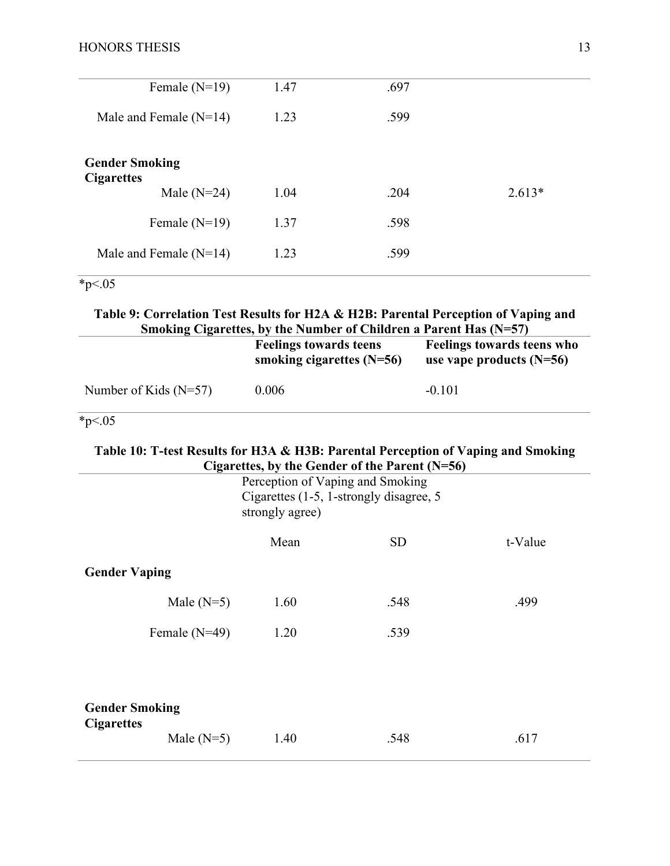| Female $(N=19)$                            | 1.47 | .697 |          |
|--------------------------------------------|------|------|----------|
| Male and Female $(N=14)$                   | 1.23 | .599 |          |
| <b>Gender Smoking</b><br><b>Cigarettes</b> |      |      |          |
| Male $(N=24)$                              | 1.04 | .204 | $2.613*$ |
| Female $(N=19)$                            | 1.37 | .598 |          |
| Male and Female $(N=14)$                   | 1.23 | .599 |          |
|                                            |      |      |          |

 $*_{p<.05}$ 

**Table 9: Correlation Test Results for H2A & H2B: Parental Perception of Vaping and Smoking Cigarettes, by the Number of Children a Parent Has (N=57)**

|                         | <b>Feelings towards teens</b><br>smoking cigarettes $(N=56)$ | Feelings towards teens who<br>use vape products $(N=56)$ |
|-------------------------|--------------------------------------------------------------|----------------------------------------------------------|
| Number of Kids $(N=57)$ | 0.006                                                        | $-0.101$                                                 |

 $*_{p<.05}$ 

## **Table 10: T-test Results for H3A & H3B: Parental Perception of Vaping and Smoking Cigarettes, by the Gender of the Parent (N=56)**

|                                            |                 | Perception of Vaping and Smoking<br>Cigarettes (1-5, 1-strongly disagree, 5<br>strongly agree) |           |         |  |
|--------------------------------------------|-----------------|------------------------------------------------------------------------------------------------|-----------|---------|--|
|                                            |                 | Mean                                                                                           | <b>SD</b> | t-Value |  |
| <b>Gender Vaping</b>                       |                 |                                                                                                |           |         |  |
|                                            | Male $(N=5)$    | 1.60                                                                                           | .548      | .499    |  |
|                                            | Female $(N=49)$ | 1.20                                                                                           | .539      |         |  |
|                                            |                 |                                                                                                |           |         |  |
| <b>Gender Smoking</b><br><b>Cigarettes</b> |                 |                                                                                                |           |         |  |
|                                            | Male $(N=5)$    | 1.40                                                                                           | .548      | .617    |  |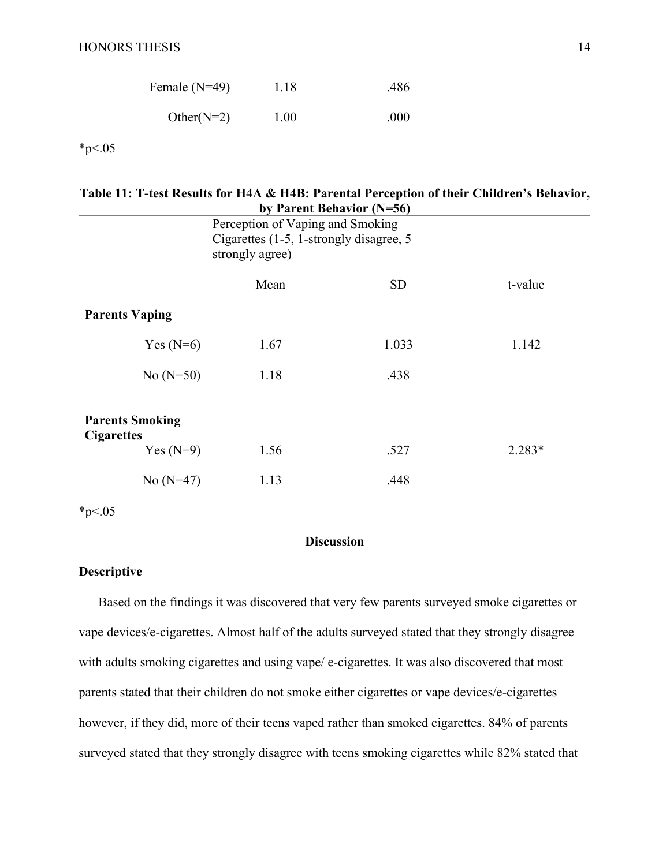| Female $(N=49)$ | 1.18 | .486 |  |
|-----------------|------|------|--|
| Other( $N=2$ )  | 1.00 | .000 |  |

 $*_{p<.05}$ 

## **Table 11: T-test Results for H4A & H4B: Parental Perception of their Children's Behavior, by Parent Behavior (N=56)**

|                                             |                                         | $\mathbf{r}$ as $\mathbf{r}$ being $\mathbf{r}$ and $\mathbf{r}$ and $\mathbf{r}$ |          |  |
|---------------------------------------------|-----------------------------------------|-----------------------------------------------------------------------------------|----------|--|
| Perception of Vaping and Smoking            |                                         |                                                                                   |          |  |
|                                             | Cigarettes (1-5, 1-strongly disagree, 5 |                                                                                   |          |  |
|                                             | strongly agree)                         |                                                                                   |          |  |
|                                             |                                         |                                                                                   |          |  |
|                                             | Mean                                    | <b>SD</b>                                                                         | t-value  |  |
| <b>Parents Vaping</b>                       |                                         |                                                                                   |          |  |
| Yes $(N=6)$                                 | 1.67                                    | 1.033                                                                             | 1.142    |  |
| No $(N=50)$                                 | 1.18                                    | .438                                                                              |          |  |
| <b>Parents Smoking</b><br><b>Cigarettes</b> |                                         |                                                                                   |          |  |
| Yes $(N=9)$                                 | 1.56                                    | .527                                                                              | $2.283*$ |  |
| No $(N=47)$                                 | 1.13                                    | .448                                                                              |          |  |
|                                             |                                         |                                                                                   |          |  |

 $*_{p<.05}$ 

# **Discussion**

## **Descriptive**

Based on the findings it was discovered that very few parents surveyed smoke cigarettes or vape devices/e-cigarettes. Almost half of the adults surveyed stated that they strongly disagree with adults smoking cigarettes and using vape/ e-cigarettes. It was also discovered that most parents stated that their children do not smoke either cigarettes or vape devices/e-cigarettes however, if they did, more of their teens vaped rather than smoked cigarettes. 84% of parents surveyed stated that they strongly disagree with teens smoking cigarettes while 82% stated that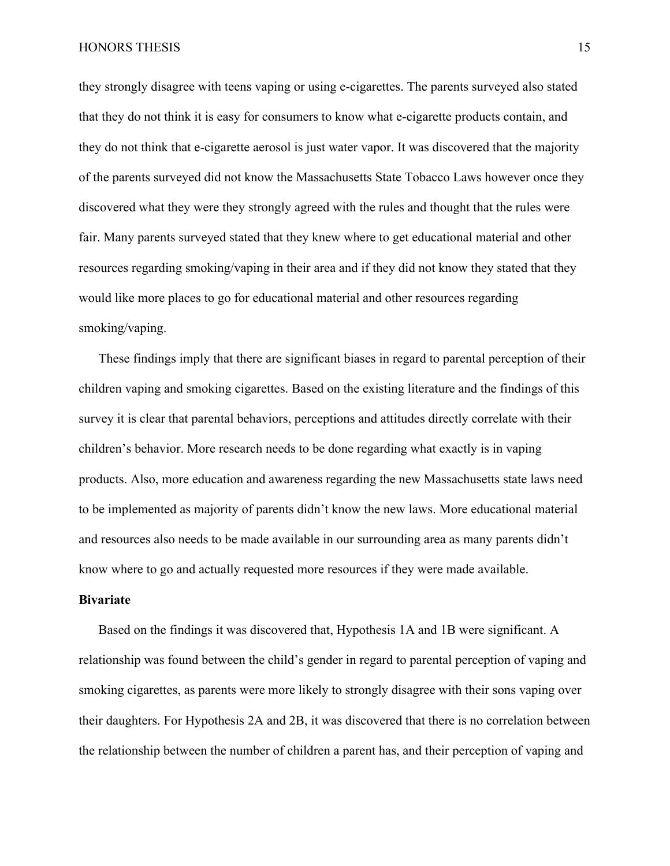HONORS THESIS 15

they strongly disagree with teens vaping or using e-cigarettes. The parents surveyed also stated that they do not think it is easy for consumers to know what e-cigarette products contain, and they do not think that e-cigarette aerosol is just water vapor. It was discovered that the majority of the parents surveyed did not know the Massachusetts State Tobacco Laws however once they discovered what they were they strongly agreed with the rules and thought that the rules were fair. Many parents surveyed stated that they knew where to get educational material and other resources regarding smoking/vaping in their area and if they did not know they stated that they would like more places to go for educational material and other resources regarding smoking/vaping.

These findings imply that there are significant biases in regard to parental perception of their children vaping and smoking cigarettes. Based on the existing literature and the findings of this survey it is clear that parental behaviors, perceptions and attitudes directly correlate with their children's behavior. More research needs to be done regarding what exactly is in vaping products. Also, more education and awareness regarding the new Massachusetts state laws need to be implemented as majority of parents didn't know the new laws. More educational material and resources also needs to be made available in our surrounding area as many parents didn't know where to go and actually requested more resources if they were made available.

### **Bivariate**

Based on the findings it was discovered that, Hypothesis 1A and 1B were significant. A relationship was found between the child's gender in regard to parental perception of vaping and smoking cigarettes, as parents were more likely to strongly disagree with their sons vaping over their daughters. For Hypothesis 2A and 2B, it was discovered that there is no correlation between the relationship between the number of children a parent has, and their perception of vaping and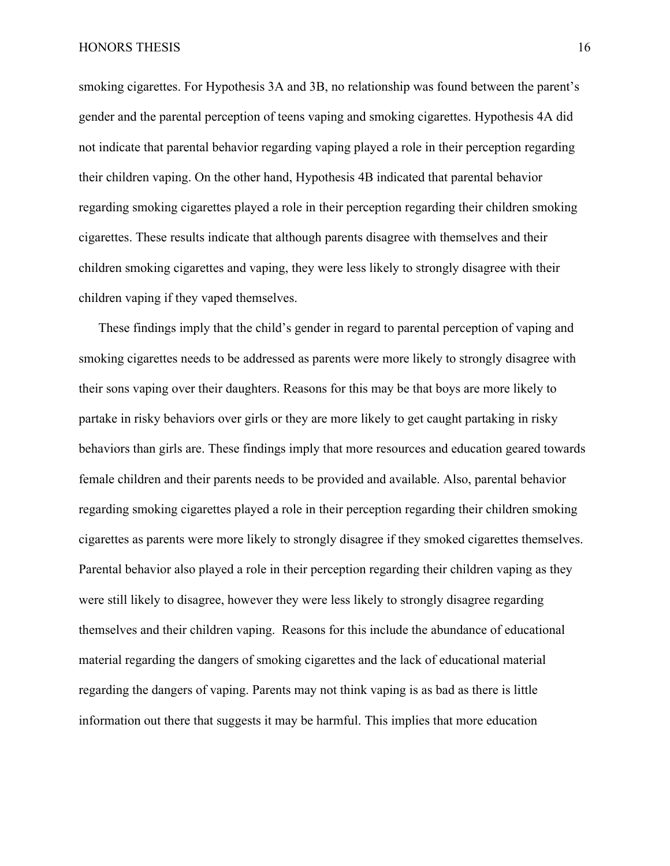smoking cigarettes. For Hypothesis 3A and 3B, no relationship was found between the parent's gender and the parental perception of teens vaping and smoking cigarettes. Hypothesis 4A did not indicate that parental behavior regarding vaping played a role in their perception regarding their children vaping. On the other hand, Hypothesis 4B indicated that parental behavior regarding smoking cigarettes played a role in their perception regarding their children smoking cigarettes. These results indicate that although parents disagree with themselves and their children smoking cigarettes and vaping, they were less likely to strongly disagree with their children vaping if they vaped themselves.

These findings imply that the child's gender in regard to parental perception of vaping and smoking cigarettes needs to be addressed as parents were more likely to strongly disagree with their sons vaping over their daughters. Reasons for this may be that boys are more likely to partake in risky behaviors over girls or they are more likely to get caught partaking in risky behaviors than girls are. These findings imply that more resources and education geared towards female children and their parents needs to be provided and available. Also, parental behavior regarding smoking cigarettes played a role in their perception regarding their children smoking cigarettes as parents were more likely to strongly disagree if they smoked cigarettes themselves. Parental behavior also played a role in their perception regarding their children vaping as they were still likely to disagree, however they were less likely to strongly disagree regarding themselves and their children vaping. Reasons for this include the abundance of educational material regarding the dangers of smoking cigarettes and the lack of educational material regarding the dangers of vaping. Parents may not think vaping is as bad as there is little information out there that suggests it may be harmful. This implies that more education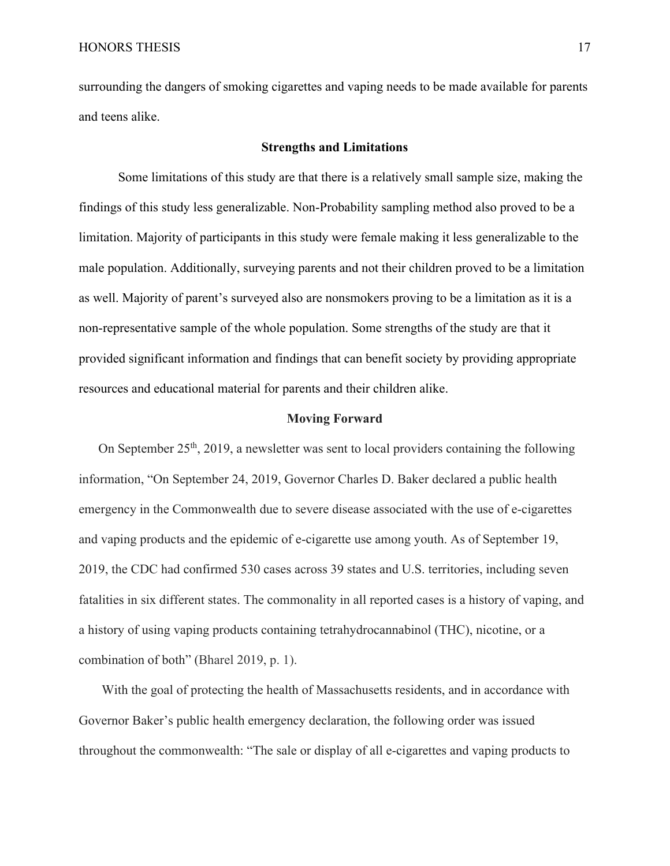surrounding the dangers of smoking cigarettes and vaping needs to be made available for parents and teens alike.

### **Strengths and Limitations**

Some limitations of this study are that there is a relatively small sample size, making the findings of this study less generalizable. Non-Probability sampling method also proved to be a limitation. Majority of participants in this study were female making it less generalizable to the male population. Additionally, surveying parents and not their children proved to be a limitation as well. Majority of parent's surveyed also are nonsmokers proving to be a limitation as it is a non-representative sample of the whole population. Some strengths of the study are that it provided significant information and findings that can benefit society by providing appropriate resources and educational material for parents and their children alike.

#### **Moving Forward**

On September 25<sup>th</sup>, 2019, a newsletter was sent to local providers containing the following information, "On September 24, 2019, Governor Charles D. Baker declared a public health emergency in the Commonwealth due to severe disease associated with the use of e-cigarettes and vaping products and the epidemic of e-cigarette use among youth. As of September 19, 2019, the CDC had confirmed 530 cases across 39 states and U.S. territories, including seven fatalities in six different states. The commonality in all reported cases is a history of vaping, and a history of using vaping products containing tetrahydrocannabinol (THC), nicotine, or a combination of both" (Bharel 2019, p. 1).

With the goal of protecting the health of Massachusetts residents, and in accordance with Governor Baker's public health emergency declaration, the following order was issued throughout the commonwealth: "The sale or display of all e-cigarettes and vaping products to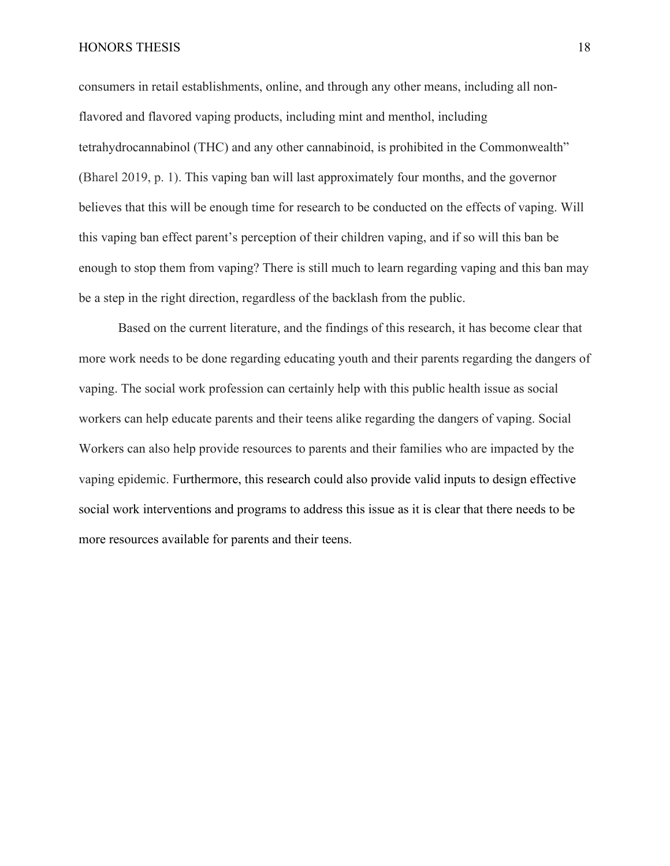#### HONORS THESIS 18

consumers in retail establishments, online, and through any other means, including all nonflavored and flavored vaping products, including mint and menthol, including tetrahydrocannabinol (THC) and any other cannabinoid, is prohibited in the Commonwealth" (Bharel 2019, p. 1). This vaping ban will last approximately four months, and the governor believes that this will be enough time for research to be conducted on the effects of vaping. Will this vaping ban effect parent's perception of their children vaping, and if so will this ban be enough to stop them from vaping? There is still much to learn regarding vaping and this ban may be a step in the right direction, regardless of the backlash from the public.

Based on the current literature, and the findings of this research, it has become clear that more work needs to be done regarding educating youth and their parents regarding the dangers of vaping. The social work profession can certainly help with this public health issue as social workers can help educate parents and their teens alike regarding the dangers of vaping. Social Workers can also help provide resources to parents and their families who are impacted by the vaping epidemic. Furthermore, this research could also provide valid inputs to design effective social work interventions and programs to address this issue as it is clear that there needs to be more resources available for parents and their teens.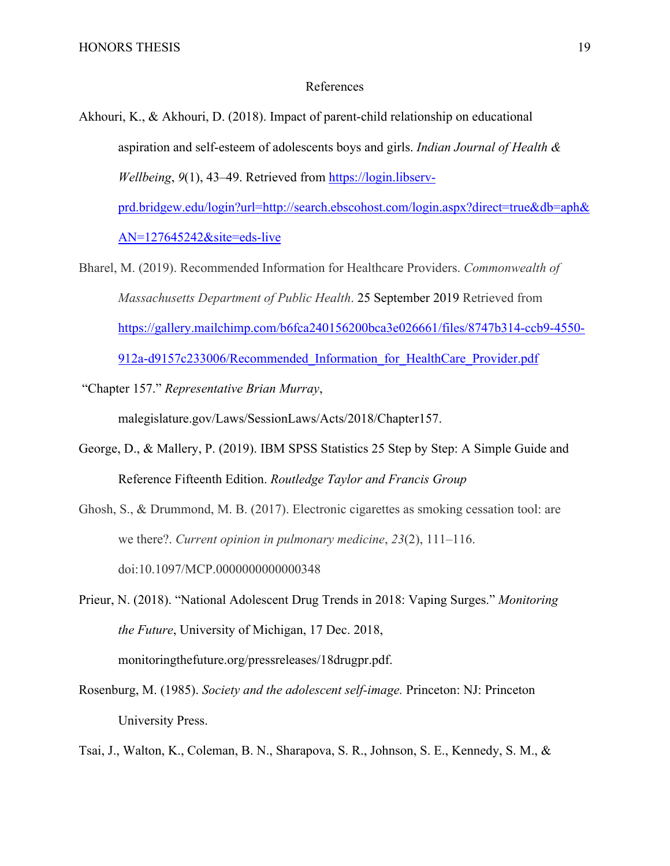### References

Akhouri, K., & Akhouri, D. (2018). Impact of parent-child relationship on educational aspiration and self-esteem of adolescents boys and girls. *Indian Journal of Health & Wellbeing*, *9*(1), 43–49. Retrieved from [https://login.libserv](https://login.libserv-prd.bridgew.edu/login?url=http://search.ebscohost.com/login.aspx?direct=true&db=aph&AN=127645242&site=eds-live)[prd.bridgew.edu/login?url=http://search.ebscohost.com/login.aspx?direct=true&db=aph&](https://login.libserv-prd.bridgew.edu/login?url=http://search.ebscohost.com/login.aspx?direct=true&db=aph&AN=127645242&site=eds-live)

[AN=127645242&site=eds-live](https://login.libserv-prd.bridgew.edu/login?url=http://search.ebscohost.com/login.aspx?direct=true&db=aph&AN=127645242&site=eds-live)

- Bharel, M. (2019). Recommended Information for Healthcare Providers. *Commonwealth of Massachusetts Department of Public Health*. 25 September 2019 Retrieved from [https://gallery.mailchimp.com/b6fca240156200bca3e026661/files/8747b314-ccb9-4550-](https://gallery.mailchimp.com/b6fca240156200bca3e026661/files/8747b314-ccb9-4550-912a-d9157c233006/Recommended_Information_for_HealthCare_Provider.pdf) [912a-d9157c233006/Recommended\\_Information\\_for\\_HealthCare\\_Provider.pdf](https://gallery.mailchimp.com/b6fca240156200bca3e026661/files/8747b314-ccb9-4550-912a-d9157c233006/Recommended_Information_for_HealthCare_Provider.pdf)
- "Chapter 157." *Representative Brian Murray*,

malegislature.gov/Laws/SessionLaws/Acts/2018/Chapter157.

- George, D., & Mallery, P. (2019). IBM SPSS Statistics 25 Step by Step: A Simple Guide and Reference Fifteenth Edition. *Routledge Taylor and Francis Group*
- Ghosh, S., & Drummond, M. B. (2017). Electronic cigarettes as smoking cessation tool: are we there?. *Current opinion in pulmonary medicine*, *23*(2), 111–116. doi:10.1097/MCP.0000000000000348

Prieur, N. (2018). "National Adolescent Drug Trends in 2018: Vaping Surges." *Monitoring the Future*, University of Michigan, 17 Dec. 2018, monitoringthefuture.org/pressreleases/18drugpr.pdf.

- Rosenburg, M. (1985). *Society and the adolescent self-image.* Princeton: NJ: Princeton University Press.
- Tsai, J., Walton, K., Coleman, B. N., Sharapova, S. R., Johnson, S. E., Kennedy, S. M., &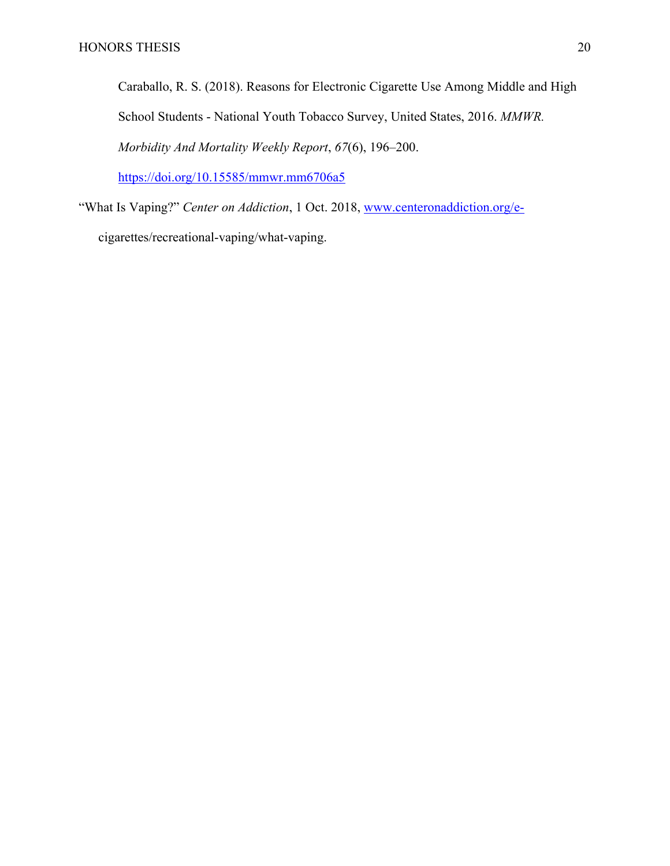Caraballo, R. S. (2018). Reasons for Electronic Cigarette Use Among Middle and High School Students - National Youth Tobacco Survey, United States, 2016. *MMWR. Morbidity And Mortality Weekly Report*, *67*(6), 196–200.

<https://doi.org/10.15585/mmwr.mm6706a5>

"What Is Vaping?" *Center on Addiction*, 1 Oct. 2018, [www.centeronaddiction.org/e](http://www.centeronaddiction.org/e-)cigarettes/recreational-vaping/what-vaping.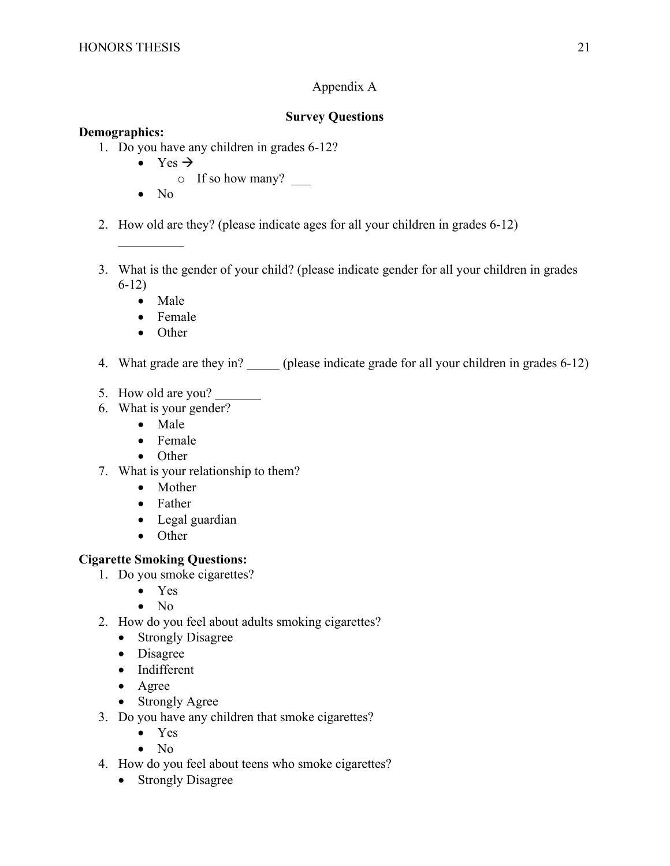# Appendix A

# **Survey Questions**

## **Demographics:**

- 1. Do you have any children in grades 6-12?
	- Yes  $\rightarrow$ 
		- $\circ$  If so how many?
	- No

 $\mathcal{L}$  . The set of the set of the set of the set of the set of the set of the set of the set of the set of the set of the set of the set of the set of the set of the set of the set of the set of the set of the set of t

- 2. How old are they? (please indicate ages for all your children in grades 6-12)
- 3. What is the gender of your child? (please indicate gender for all your children in grades 6-12)
	- Male
	- Female
	- Other
- 4. What grade are they in? (please indicate grade for all your children in grades 6-12)
- 5. How old are you?
- 6. What is your gender?
	- Male
	- Female
	- Other
- 7. What is your relationship to them?
	- Mother
	- Father
	- Legal guardian
	- Other

## **Cigarette Smoking Questions:**

- 1. Do you smoke cigarettes?
	- Yes
	- No
- 2. How do you feel about adults smoking cigarettes?
	- Strongly Disagree
	- Disagree
	- Indifferent
	- Agree
	- Strongly Agree
- 3. Do you have any children that smoke cigarettes?
	- Yes
	- No
- 4. How do you feel about teens who smoke cigarettes?
	- Strongly Disagree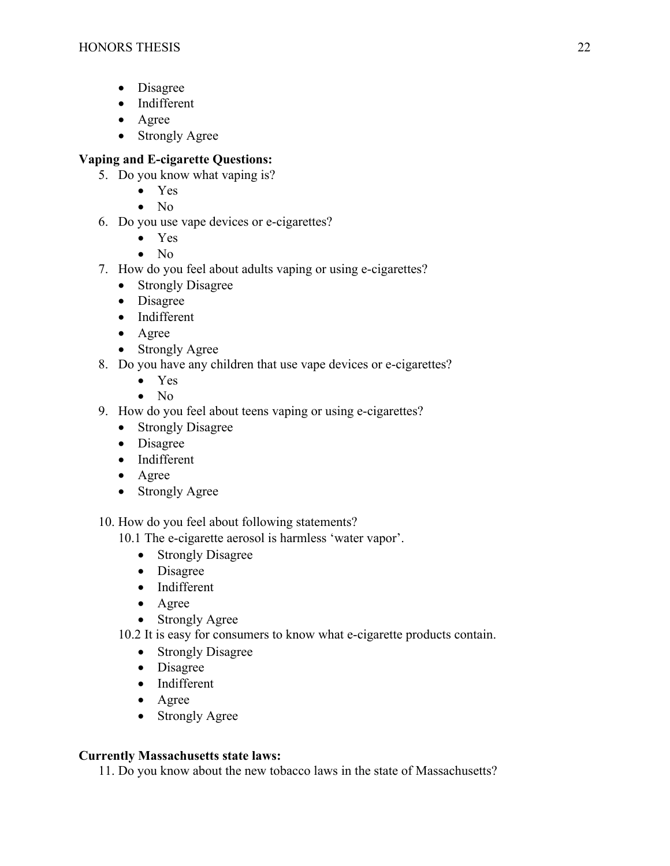- Disagree
- Indifferent
- Agree
- Strongly Agree

# **Vaping and E-cigarette Questions:**

- 5. Do you know what vaping is?
	- Yes
	- $\bullet$  No
- 6. Do you use vape devices or e-cigarettes?
	- Yes
	- $\bullet$  No
- 7. How do you feel about adults vaping or using e-cigarettes?
	- Strongly Disagree
	- Disagree
	- Indifferent
	- Agree
	- Strongly Agree
- 8. Do you have any children that use vape devices or e-cigarettes?
	- Yes
	- $\bullet$  No
- 9. How do you feel about teens vaping or using e-cigarettes?
	- Strongly Disagree
	- Disagree
	- Indifferent
	- Agree
	- Strongly Agree
- 10. How do you feel about following statements?
	- 10.1 The e-cigarette aerosol is harmless 'water vapor'.
		- Strongly Disagree
		- Disagree
		- Indifferent
		- Agree
		- Strongly Agree
	- 10.2 It is easy for consumers to know what e-cigarette products contain.
		- Strongly Disagree
		- Disagree
		- Indifferent
		- Agree
		- Strongly Agree

# **Currently Massachusetts state laws:**

11. Do you know about the new tobacco laws in the state of Massachusetts?